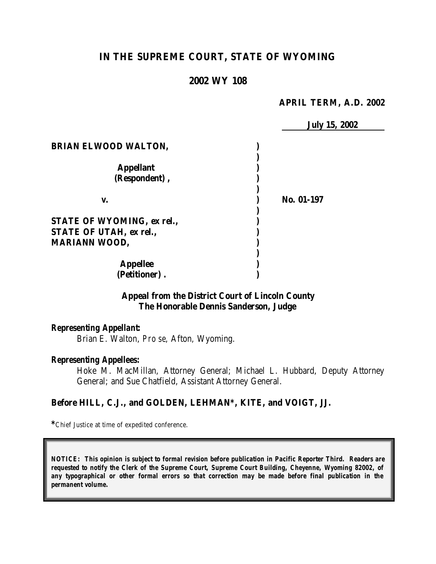# **IN THE SUPREME COURT, STATE OF WYOMING**

# **2002 WY 108**

#### **APRIL TERM, A.D. 2002**

|                             | <b>July 15, 2002</b> |
|-----------------------------|----------------------|
| <b>BRIAN ELWOOD WALTON,</b> |                      |
| <b>Appellant</b>            |                      |
| (Respondent),               |                      |
| v.                          | No. 01-197           |
| STATE OF WYOMING, ex rel.,  |                      |
| STATE OF UTAH, ex rel.,     |                      |
| <b>MARIANN WOOD,</b>        |                      |
| <b>Appellee</b>             |                      |
| (Petitioner).               |                      |

## **Appeal from the District Court of Lincoln County The Honorable Dennis Sanderson, Judge**

#### *Representing Appellant:*

Brian E. Walton, *Pro se*, Afton, Wyoming.

#### *Representing Appellees:*

Hoke M. MacMillan, Attorney General; Michael L. Hubbard, Deputy Attorney General; and Sue Chatfield, Assistant Attorney General.

#### **Before HILL, C.J., and GOLDEN, LEHMAN\*, KITE, and VOIGT, JJ.**

**\***Chief Justice at time of expedited conference.

*NOTICE: This opinion is subject to formal revision before publication in Pacific Reporter Third. Readers are requested to notify the Clerk of the Supreme Court, Supreme Court Building, Cheyenne, Wyoming 82002, of any typographical or other formal errors so that correction may be made before final publication in the permanent volume.*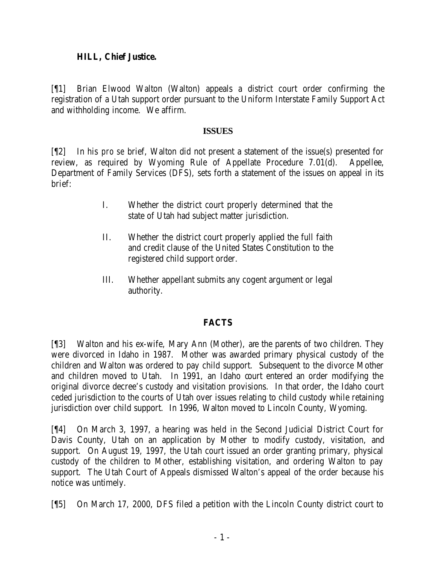### **HILL, Chief Justice.**

[¶1] Brian Elwood Walton (Walton) appeals a district court order confirming the registration of a Utah support order pursuant to the Uniform Interstate Family Support Act and withholding income. We affirm.

### **ISSUES**

[¶2] In his *pro se* brief, Walton did not present a statement of the issue(s) presented for review, as required by Wyoming Rule of Appellate Procedure 7.01(d). Appellee, Department of Family Services (DFS), sets forth a statement of the issues on appeal in its brief:

- I. Whether the district court properly determined that the state of Utah had subject matter jurisdiction.
- II. Whether the district court properly applied the full faith and credit clause of the United States Constitution to the registered child support order.
- III. Whether appellant submits any cogent argument or legal authority.

## **FACTS**

[¶3] Walton and his ex-wife, Mary Ann (Mother), are the parents of two children. They were divorced in Idaho in 1987. Mother was awarded primary physical custody of the children and Walton was ordered to pay child support. Subsequent to the divorce Mother and children moved to Utah. In 1991, an Idaho court entered an order modifying the original divorce decree's custody and visitation provisions. In that order, the Idaho court ceded jurisdiction to the courts of Utah over issues relating to child custody while retaining jurisdiction over child support. In 1996, Walton moved to Lincoln County, Wyoming.

[¶4] On March 3, 1997, a hearing was held in the Second Judicial District Court for Davis County, Utah on an application by Mother to modify custody, visitation, and support. On August 19, 1997, the Utah court issued an order granting primary, physical custody of the children to Mother, establishing visitation, and ordering Walton to pay support. The Utah Court of Appeals dismissed Walton's appeal of the order because his notice was untimely.

[¶5] On March 17, 2000, DFS filed a petition with the Lincoln County district court to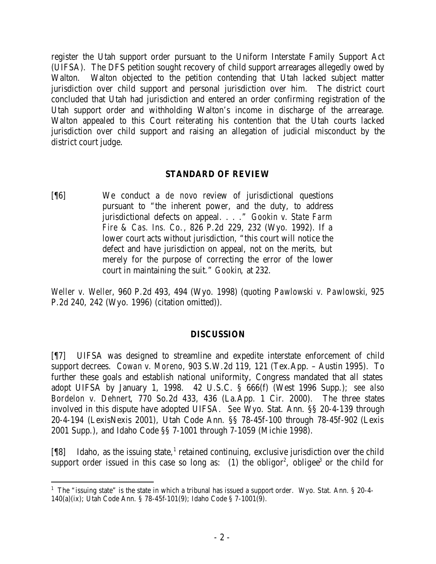register the Utah support order pursuant to the Uniform Interstate Family Support Act (UIFSA). The DFS petition sought recovery of child support arrearages allegedly owed by Walton. Walton objected to the petition contending that Utah lacked subject matter jurisdiction over child support and personal jurisdiction over him. The district court concluded that Utah had jurisdiction and entered an order confirming registration of the Utah support order and withholding Walton's income in discharge of the arrearage. Walton appealed to this Court reiterating his contention that the Utah courts lacked jurisdiction over child support and raising an allegation of judicial misconduct by the district court judge.

### **STANDARD OF REVIEW**

[¶6] We conduct a *de novo* review of jurisdictional questions pursuant to "the inherent power, and the duty, to address jurisdictional defects on appeal. . . ." *Gookin v. State Farm Fire & Cas. Ins. Co.*, 826 P.2d 229, 232 (Wyo. 1992). If a lower court acts without jurisdiction, "this court will notice the defect and have jurisdiction on appeal, not on the merits, but merely for the purpose of correcting the error of the lower court in maintaining the suit." *Gookin*, at 232.

*Weller v. Weller*, 960 P.2d 493, 494 (Wyo. 1998) (quoting *Pawlowski v. Pawlowski*, 925 P.2d 240, 242 (Wyo. 1996) (citation omitted)).

### **DISCUSSION**

[¶7] UIFSA was designed to streamline and expedite interstate enforcement of child support decrees. *Cowan v. Moreno*, 903 S.W.2d 119, 121 (Tex.App. – Austin 1995). To further these goals and establish national uniformity, Congress mandated that all states adopt UIFSA by January 1, 1998. 42 U.S.C. § 666(f) (West 1996 Supp.); *see also Bordelon v. Dehnert*, 770 So.2d 433, 436 (La.App. 1 Cir. 2000). The three states involved in this dispute have adopted UIFSA. *See* Wyo. Stat. Ann. §§ 20-4-139 through 20-4-194 (LexisNexis 2001), Utah Code Ann. §§ 78-45f-100 through 78-45f-902 (Lexis 2001 Supp.), and Idaho Code §§ 7-1001 through 7-1059 (Michie 1998).

[18] Idaho, as the issuing state,<sup>1</sup> retained continuing, exclusive jurisdiction over the child support order issued in this case so long as: (1) the obligor<sup>2</sup>, obligee<sup>3</sup> or the child for

<sup>&</sup>lt;sup>1</sup> The "issuing state" is the state in which a tribunal has issued a support order. Wyo. Stat. Ann. § 20-4-140(a)(ix); Utah Code Ann. § 78-45f-101(9); Idaho Code § 7-1001(9).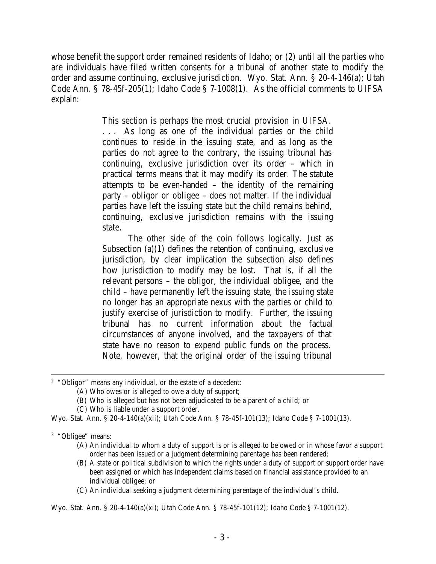whose benefit the support order remained residents of Idaho; or (2) until all the parties who are individuals have filed written consents for a tribunal of another state to modify the order and assume continuing, exclusive jurisdiction. Wyo. Stat. Ann. § 20-4-146(a); Utah Code Ann. § 78-45f-205(1); Idaho Code § 7-1008(1). As the official comments to UIFSA explain:

This section is perhaps the most crucial provision in UIFSA.

. . . As long as one of the individual parties or the child continues to reside in the issuing state, and as long as the parties do not agree to the contrary, the issuing tribunal has continuing, exclusive jurisdiction over its order – which in practical terms means that it may modify its order. The statute attempts to be even-handed – the identity of the remaining party – obligor or obligee – does not matter. If the individual parties have left the issuing state but the child remains behind, continuing, exclusive jurisdiction remains with the issuing state.

The other side of the coin follows logically. Just as Subsection  $(a)(1)$  defines the retention of continuing, exclusive jurisdiction, by clear implication the subsection also defines how jurisdiction to modify may be lost. That is, if all the relevant persons – the obligor, the individual obligee, and the child – have permanently left the issuing state, the issuing state no longer has an appropriate nexus with the parties or child to justify exercise of jurisdiction to modify. Further, the issuing tribunal has no current information about the factual circumstances of anyone involved, and the taxpayers of that state have no reason to expend public funds on the process. Note, however, that the original order of the issuing tribunal

<sup>2</sup> "Obligor" means any individual, or the estate of a decedent:

- (A) Who owes or is alleged to owe a duty of support;
- (B) Who is alleged but has not been adjudicated to be a parent of a child; or
- (C) Who is liable under a support order.

Wyo. Stat. Ann. § 20-4-140(a)(xii); Utah Code Ann. § 78-45f-101(13); Idaho Code § 7-1001(13).

- (A) An individual to whom a duty of support is or is alleged to be owed or in whose favor a support order has been issued or a judgment determining parentage has been rendered;
- (B) A state or political subdivision to which the rights under a duty of support or support order have been assigned or which has independent claims based on financial assistance provided to an individual obligee; or
- (C) An individual seeking a judgment determining parentage of the individual's child.

Wyo. Stat. Ann. § 20-4-140(a)(xi); Utah Code Ann. § 78-45f-101(12); Idaho Code § 7-1001(12).

<sup>&</sup>lt;sup>3</sup> "Obligee" means: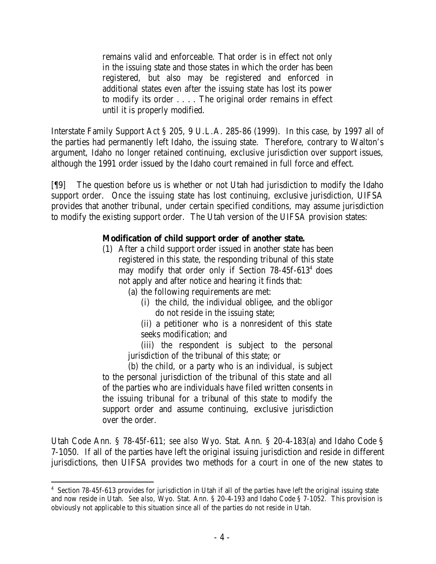remains valid and enforceable. That order is in effect not only in the issuing state and those states in which the order has been registered, but also may be registered and enforced in additional states even after the issuing state has lost its power to modify its order . . . . The original order remains in effect until it is properly modified.

Interstate Family Support Act § 205, 9 U.L.A. 285-86 (1999). In this case, by 1997 all of the parties had permanently left Idaho, the issuing state. Therefore, contrary to Walton's argument, Idaho no longer retained continuing, exclusive jurisdiction over support issues, although the 1991 order issued by the Idaho court remained in full force and effect.

[¶9] The question before us is whether or not Utah had jurisdiction to modify the Idaho support order. Once the issuing state has lost continuing, exclusive jurisdiction, UIFSA provides that another tribunal, under certain specified conditions, may assume jurisdiction to modify the existing support order. The Utah version of the UIFSA provision states:

# **Modification of child support order of another state.**

- (1) After a child support order issued in another state has been registered in this state, the responding tribunal of this state may modify that order only if Section 78-45f-613<sup>4</sup> does not apply and after notice and hearing it finds that:
	- (a) the following requirements are met:
		- (i) the child, the individual obligee, and the obligor do not reside in the issuing state;
		- (ii) a petitioner who is a nonresident of this state seeks modification; and

(iii) the respondent is subject to the personal jurisdiction of the tribunal of this state; or

(b) the child, or a party who is an individual, is subject to the personal jurisdiction of the tribunal of this state and all of the parties who are individuals have filed written consents in the issuing tribunal for a tribunal of this state to modify the support order and assume continuing, exclusive jurisdiction over the order.

Utah Code Ann. § 78-45f-611; *see also* Wyo. Stat. Ann. § 20-4-183(a) and Idaho Code § 7-1050. If all of the parties have left the original issuing jurisdiction and reside in different jurisdictions, then UIFSA provides two methods for a court in one of the new states to

<sup>&</sup>lt;sup>4</sup> Section 78-45f-613 provides for jurisdiction in Utah if all of the parties have left the original issuing state and now reside in Utah. *See also*, Wyo. Stat. Ann. § 20-4-193 and Idaho Code § 7-1052. This provision is obviously not applicable to this situation since all of the parties do not reside in Utah.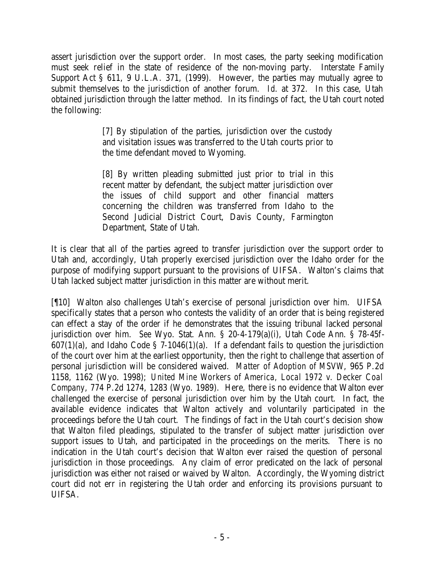assert jurisdiction over the support order. In most cases, the party seeking modification must seek relief in the state of residence of the non-moving party. Interstate Family Support Act § 611, 9 U.L.A. 371, (1999). However, the parties may mutually agree to submit themselves to the jurisdiction of another forum. *Id*. at 372. In this case, Utah obtained jurisdiction through the latter method. In its findings of fact, the Utah court noted the following:

> [7] By stipulation of the parties, jurisdiction over the custody and visitation issues was transferred to the Utah courts prior to the time defendant moved to Wyoming.

> [8] By written pleading submitted just prior to trial in this recent matter by defendant, the subject matter jurisdiction over the issues of child support and other financial matters concerning the children was transferred from Idaho to the Second Judicial District Court, Davis County, Farmington Department, State of Utah.

It is clear that all of the parties agreed to transfer jurisdiction over the support order to Utah and, accordingly, Utah properly exercised jurisdiction over the Idaho order for the purpose of modifying support pursuant to the provisions of UIFSA. Walton's claims that Utah lacked subject matter jurisdiction in this matter are without merit.

[¶10] Walton also challenges Utah's exercise of personal jurisdiction over him. UIFSA specifically states that a person who contests the validity of an order that is being registered can effect a stay of the order if he demonstrates that the issuing tribunal lacked personal jurisdiction over him. *See* Wyo. Stat. Ann. § 20-4-179(a)(i), Utah Code Ann. § 78-45f- $607(1)(a)$ , and Idaho Code § 7-1046(1)(a). If a defendant fails to question the jurisdiction of the court over him at the earliest opportunity, then the right to challenge that assertion of personal jurisdiction will be considered waived. *Matter of Adoption of MSVW*, 965 P.2d 1158, 1162 (Wyo. 1998); *United Mine Workers of America, Local 1972 v. Decker Coal Company*, 774 P.2d 1274, 1283 (Wyo. 1989). Here, there is no evidence that Walton ever challenged the exercise of personal jurisdiction over him by the Utah court. In fact, the available evidence indicates that Walton actively and voluntarily participated in the proceedings before the Utah court. The findings of fact in the Utah court's decision show that Walton filed pleadings, stipulated to the transfer of subject matter jurisdiction over support issues to Utah, and participated in the proceedings on the merits. There is no indication in the Utah court's decision that Walton ever raised the question of personal jurisdiction in those proceedings. Any claim of error predicated on the lack of personal jurisdiction was either not raised or waived by Walton. Accordingly, the Wyoming district court did not err in registering the Utah order and enforcing its provisions pursuant to UIFSA.